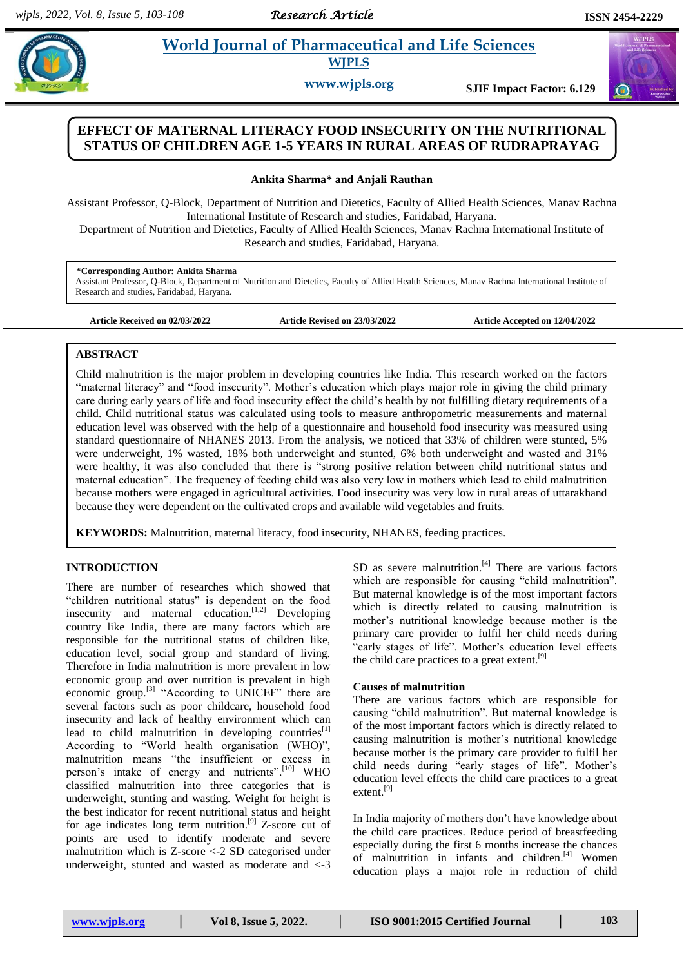# **Para** *Pharmaceutical and Life Sciences* **<b>***Morld Journal of Pharmaceutical and Life Sciences* **WJPLS**

**www.wjpls.org SJIF Impact Factor: 6.129**

# **EFFECT OF MATERNAL LITERACY FOOD INSECURITY ON THE NUTRITIONAL STATUS OF CHILDREN AGE 1-5 YEARS IN RURAL AREAS OF RUDRAPRAYAG**

### **Ankita Sharma\* and Anjali Rauthan**

Assistant Professor, Q-Block, Department of Nutrition and Dietetics, Faculty of Allied Health Sciences, Manav Rachna International Institute of Research and studies, Faridabad, Haryana.

Department of Nutrition and Dietetics, Faculty of Allied Health Sciences, Manav Rachna International Institute of Research and studies, Faridabad, Haryana.

#### **\*Corresponding Author: Ankita Sharma**

Assistant Professor, Q-Block, Department of Nutrition and Dietetics, Faculty of Allied Health Sciences, Manav Rachna International Institute of Research and studies, Faridabad, Haryana.

**Article Received on 02/03/2022 Article Revised on 23/03/2022 Article Accepted on 12/04/2022**

## **ABSTRACT**

Child malnutrition is the major problem in developing countries like India. This research worked on the factors "maternal literacy" and "food insecurity". Mother's education which plays major role in giving the child primary care during early years of life and food insecurity effect the child's health by not fulfilling dietary requirements of a child. Child nutritional status was calculated using tools to measure anthropometric measurements and maternal education level was observed with the help of a questionnaire and household food insecurity was measured using standard questionnaire of NHANES 2013. From the analysis, we noticed that 33% of children were stunted, 5% were underweight, 1% wasted, 18% both underweight and stunted, 6% both underweight and wasted and 31% were healthy, it was also concluded that there is "strong positive relation between child nutritional status and maternal education". The frequency of feeding child was also very low in mothers which lead to child malnutrition because mothers were engaged in agricultural activities. Food insecurity was very low in rural areas of uttarakhand because they were dependent on the cultivated crops and available wild vegetables and fruits.

**KEYWORDS:** Malnutrition, maternal literacy, food insecurity, NHANES, feeding practices.

## **INTRODUCTION**

There are number of researches which showed that "children nutritional status" is dependent on the food insecurity and maternal education.<sup>[1,2]</sup> Developing country like India, there are many factors which are responsible for the nutritional status of children like, education level, social group and standard of living. Therefore in India malnutrition is more prevalent in low economic group and over nutrition is prevalent in high economic group.[3] "According to UNICEF" there are several factors such as poor childcare, household food insecurity and lack of healthy environment which can lead to child malnutrition in developing countries<sup>[1]</sup> According to "World health organisation (WHO)", malnutrition means "the insufficient or excess in person's intake of energy and nutrients". $^{[10]}$  WHO classified malnutrition into three categories that is underweight, stunting and wasting. Weight for height is the best indicator for recent nutritional status and height for age indicates long term nutrition.<sup>[9]</sup> Z-score cut of points are used to identify moderate and severe malnutrition which is Z-score <-2 SD categorised under underweight, stunted and wasted as moderate and <-3

SD as severe malnutrition.<sup>[4]</sup> There are various factors which are responsible for causing "child malnutrition". But maternal knowledge is of the most important factors which is directly related to causing malnutrition is mother's nutritional knowledge because mother is the primary care provider to fulfil her child needs during "early stages of life". Mother's education level effects the child care practices to a great extent. [9]

### **Causes of malnutrition**

There are various factors which are responsible for causing "child malnutrition". But maternal knowledge is of the most important factors which is directly related to causing malnutrition is mother's nutritional knowledge because mother is the primary care provider to fulfil her child needs during "early stages of life". Mother's education level effects the child care practices to a great extent. [9]

In India majority of mothers don't have knowledge about the child care practices. Reduce period of breastfeeding especially during the first 6 months increase the chances of malnutrition in infants and children.<sup>[4]</sup> Women education plays a major role in reduction of child

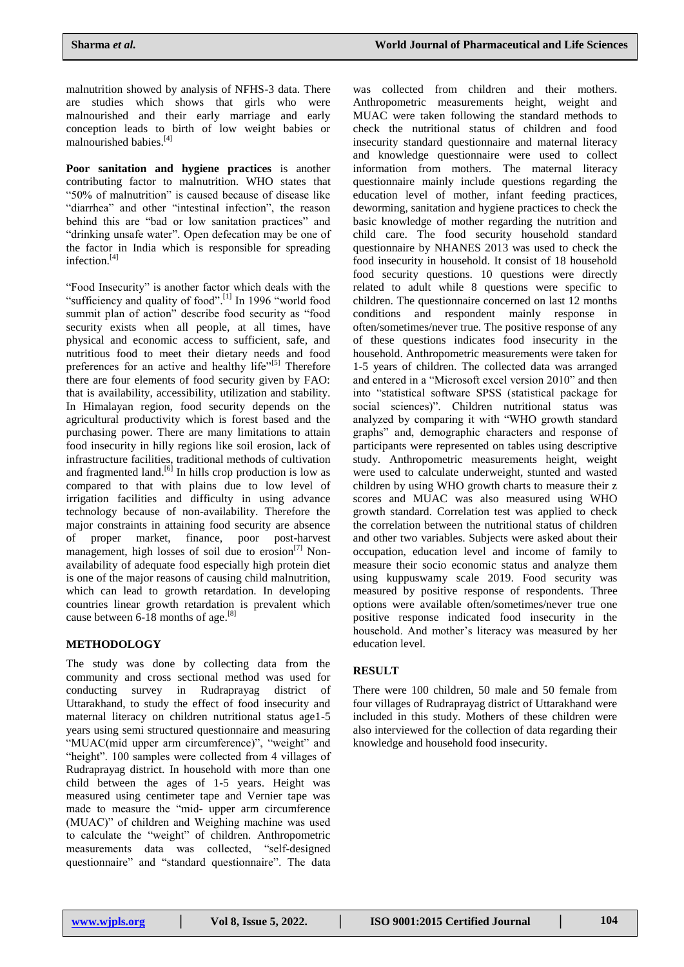malnutrition showed by analysis of NFHS-3 data. There are studies which shows that girls who were malnourished and their early marriage and early conception leads to birth of low weight babies or malnourished babies. [4]

**Poor sanitation and hygiene practices** is another contributing factor to malnutrition. WHO states that "50% of malnutrition" is caused because of disease like "diarrhea" and other "intestinal infection", the reason behind this are "bad or low sanitation practices" and "drinking unsafe water". Open defecation may be one of the factor in India which is responsible for spreading infection. [4]

"Food Insecurity" is another factor which deals with the "sufficiency and quality of food".<sup>[1]</sup> In 1996 "world food summit plan of action" describe food security as "food security exists when all people, at all times, have physical and economic access to sufficient, safe, and nutritious food to meet their dietary needs and food preferences for an active and healthy life"[5] Therefore there are four elements of food security given by FAO: that is availability, accessibility, utilization and stability. In Himalayan region, food security depends on the agricultural productivity which is forest based and the purchasing power. There are many limitations to attain food insecurity in hilly regions like soil erosion, lack of infrastructure facilities, traditional methods of cultivation and fragmented land.<sup>[6]</sup> In hills crop production is low as compared to that with plains due to low level of irrigation facilities and difficulty in using advance technology because of non-availability. Therefore the major constraints in attaining food security are absence of proper market, finance, poor post-harvest management, high losses of soil due to erosion $^{[7]}$  Nonavailability of adequate food especially high protein diet is one of the major reasons of causing child malnutrition, which can lead to growth retardation. In developing countries linear growth retardation is prevalent which cause between 6-18 months of age.<sup>[8]</sup>

### **METHODOLOGY**

The study was done by collecting data from the community and cross sectional method was used for conducting survey in Rudraprayag district of Uttarakhand, to study the effect of food insecurity and maternal literacy on children nutritional status age1-5 years using semi structured questionnaire and measuring "MUAC(mid upper arm circumference)", "weight" and "height". 100 samples were collected from 4 villages of Rudraprayag district. In household with more than one child between the ages of 1-5 years. Height was measured using centimeter tape and Vernier tape was made to measure the "mid- upper arm circumference (MUAC)" of children and Weighing machine was used to calculate the "weight" of children. Anthropometric measurements data was collected, "self-designed questionnaire" and "standard questionnaire". The data

was collected from children and their mothers. Anthropometric measurements height, weight and MUAC were taken following the standard methods to check the nutritional status of children and food insecurity standard questionnaire and maternal literacy and knowledge questionnaire were used to collect information from mothers. The maternal literacy questionnaire mainly include questions regarding the education level of mother, infant feeding practices, deworming, sanitation and hygiene practices to check the basic knowledge of mother regarding the nutrition and child care. The food security household standard questionnaire by NHANES 2013 was used to check the food insecurity in household. It consist of 18 household food security questions. 10 questions were directly related to adult while 8 questions were specific to children. The questionnaire concerned on last 12 months conditions and respondent mainly response in often/sometimes/never true. The positive response of any of these questions indicates food insecurity in the household. Anthropometric measurements were taken for 1-5 years of children. The collected data was arranged and entered in a "Microsoft excel version 2010" and then into "statistical software SPSS (statistical package for social sciences)". Children nutritional status was analyzed by comparing it with "WHO growth standard graphs" and, demographic characters and response of participants were represented on tables using descriptive study. Anthropometric measurements height, weight were used to calculate underweight, stunted and wasted children by using WHO growth charts to measure their z scores and MUAC was also measured using WHO growth standard. Correlation test was applied to check the correlation between the nutritional status of children and other two variables. Subjects were asked about their occupation, education level and income of family to measure their socio economic status and analyze them using kuppuswamy scale 2019. Food security was measured by positive response of respondents. Three options were available often/sometimes/never true one positive response indicated food insecurity in the household. And mother's literacy was measured by her education level.

### **RESULT**

There were 100 children, 50 male and 50 female from four villages of Rudraprayag district of Uttarakhand were included in this study. Mothers of these children were also interviewed for the collection of data regarding their knowledge and household food insecurity.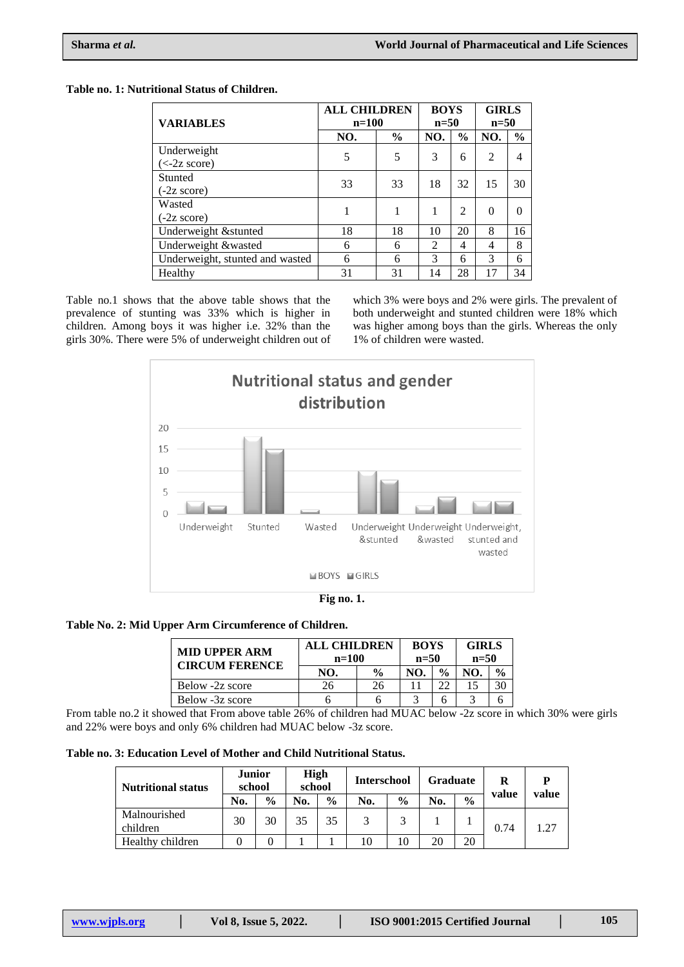## **Table no. 1: Nutritional Status of Children.**

| <b>VARIABLES</b>                | <b>ALL CHILDREN</b><br>$n=100$ |               | <b>BOYS</b><br>$n=50$ |                | <b>GIRLS</b><br>$n=50$ |               |
|---------------------------------|--------------------------------|---------------|-----------------------|----------------|------------------------|---------------|
|                                 | NO.                            | $\frac{6}{9}$ | NO.                   | $\frac{6}{9}$  | NO.                    | $\frac{0}{0}$ |
| Underweight                     | 5                              | 5             | 3                     | 6              | $\overline{2}$         | 4             |
| $(<-2z \text{ score})$          |                                |               |                       |                |                        |               |
| Stunted                         | 33                             | 33            | 18                    | 32             | 15                     | 30            |
| $(-2z \text{ score})$           |                                |               |                       |                |                        |               |
| Wasted                          | 1                              |               | 1                     | $\mathfrak{D}$ | $\Omega$               |               |
| $(-2z \text{ score})$           |                                |               |                       |                |                        |               |
| Underweight & stunted           | 18                             | 18            | 10                    | 20             | 8                      | 16            |
| Underweight &wasted             | 6                              | 6             | $\mathfrak{D}$        | 4              | 4                      | 8             |
| Underweight, stunted and wasted | 6                              | 6             | 3                     | 6              | 3                      | 6             |
| Healthy                         | 31                             | 31            | 14                    | 28             |                        | 34            |

Table no.1 shows that the above table shows that the prevalence of stunting was 33% which is higher in children. Among boys it was higher i.e. 32% than the girls 30%. There were 5% of underweight children out of

which 3% were boys and 2% were girls. The prevalent of both underweight and stunted children were 18% which was higher among boys than the girls. Whereas the only 1% of children were wasted.



### **Table No. 2: Mid Upper Arm Circumference of Children.**

| <b>MID UPPER ARM</b><br><b>CIRCUM FERENCE</b> | <b>ALL CHILDREN</b><br>$n=100$ | <b>BOYS</b><br>$n=50$ |     | <b>GIRLS</b><br>$n=50$ |     |               |
|-----------------------------------------------|--------------------------------|-----------------------|-----|------------------------|-----|---------------|
|                                               | NO.                            | $\frac{0}{0}$         | NO. | $\frac{0}{0}$          | NO. | $\frac{6}{9}$ |
| Below -2z score                               | 26                             | 26                    |     |                        |     |               |
| Below -3z score                               |                                |                       |     |                        |     |               |

From table no.2 it showed that From above table 26% of children had MUAC below -2z score in which 30% were girls and 22% were boys and only 6% children had MUAC below -3z score.

| Table no. 3: Education Level of Mother and Child Nutritional Status. |  |
|----------------------------------------------------------------------|--|
|----------------------------------------------------------------------|--|

| <b>Nutritional status</b> | <b>Junior</b><br>school |               | High<br>school |               | <b>Interschool</b> |               | <b>Graduate</b> |               | R     | D     |
|---------------------------|-------------------------|---------------|----------------|---------------|--------------------|---------------|-----------------|---------------|-------|-------|
|                           | No.                     | $\frac{0}{0}$ | No.            | $\frac{6}{6}$ | No.                | $\frac{0}{0}$ | No.             | $\frac{0}{0}$ | value | value |
| Malnourished<br>children  | 30                      | 30            | 35             | 35            | 2                  | 3             |                 |               | 0.74  | 1.27  |
| Healthy children          |                         |               |                |               | 10                 | 10            | 20              | 20            |       |       |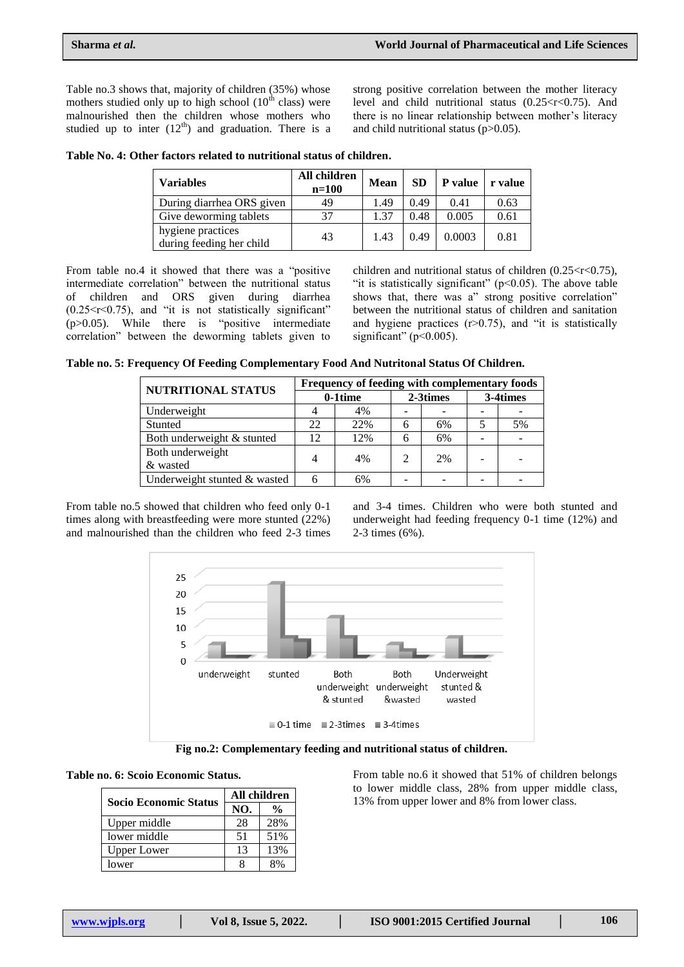Table no.3 shows that, majority of children (35%) whose mothers studied only up to high school  $(10<sup>th</sup>$  class) were malnourished then the children whose mothers who studied up to inter  $(12<sup>th</sup>)$  and graduation. There is a strong positive correlation between the mother literacy level and child nutritional status  $(0.25 < r < 0.75)$ . And there is no linear relationship between mother's literacy and child nutritional status (p>0.05).

| Table No. 4: Other factors related to nutritional status of children. |  |  |  |  |  |
|-----------------------------------------------------------------------|--|--|--|--|--|
|-----------------------------------------------------------------------|--|--|--|--|--|

| <b>Variables</b>                              | All children<br>$n=100$ | <b>Mean</b> | <b>SD</b> | <b>P</b> value | r value |
|-----------------------------------------------|-------------------------|-------------|-----------|----------------|---------|
| During diarrhea ORS given                     | 49                      | 1.49        | 0.49      | 0.41           | 0.63    |
| Give deworming tablets                        | 37                      | 1.37        | 0.48      | 0.005          | 0.61    |
| hygiene practices<br>during feeding her child | 43                      | 1.43        | 0.49      | 0.0003         | 0.81    |

From table no.4 it showed that there was a "positive intermediate correlation" between the nutritional status of children and ORS given during diarrhea  $(0.25 < r < 0.75)$ , and "it is not statistically significant"  $(p>0.05)$ . While there is "positive intermediate correlation" between the deworming tablets given to children and nutritional status of children  $(0.25 < r < 0.75)$ , "it is statistically significant"  $(p<0.05)$ . The above table shows that, there was a" strong positive correlation" between the nutritional status of children and sanitation and hygiene practices  $(r>0.75)$ , and "it is statistically significant" ( $p<0.005$ ).

**Table no. 5: Frequency Of Feeding Complementary Food And Nutritonal Status Of Children.**

| NUTRITIONAL STATUS           | Frequency of feeding with complementary foods |            |   |          |          |    |  |  |
|------------------------------|-----------------------------------------------|------------|---|----------|----------|----|--|--|
|                              |                                               | $0-1$ time |   | 2-3times | 3-4times |    |  |  |
| Underweight                  |                                               | 4%         |   |          |          |    |  |  |
| Stunted                      | 22                                            | 22%        | h | 6%       |          | 5% |  |  |
| Both underweight & stunted   | 12                                            | 12%        | h | 6%       |          |    |  |  |
| Both underweight             | 4                                             | 4%         |   | 2%       |          |    |  |  |
| & wasted                     |                                               |            |   |          |          |    |  |  |
| Underweight stunted & wasted | 6                                             | 6%         |   |          |          |    |  |  |
|                              |                                               |            |   |          |          |    |  |  |

From table no.5 showed that children who feed only 0-1 times along with breastfeeding were more stunted (22%) and malnourished than the children who feed 2-3 times and 3-4 times. Children who were both stunted and underweight had feeding frequency 0-1 time (12%) and 2-3 times (6%).



**Fig no.2: Complementary feeding and nutritional status of children.**

| <b>Socio Economic Status</b> | All children |               |  |  |  |
|------------------------------|--------------|---------------|--|--|--|
|                              | NO.          | $\frac{0}{0}$ |  |  |  |
| Upper middle                 | 28           | 28%           |  |  |  |
| lower middle                 | -51          | 51%           |  |  |  |
| Upper Lower                  | 13           | 13%           |  |  |  |
| lower                        |              |               |  |  |  |

From table no.6 it showed that 51% of children belongs to lower middle class, 28% from upper middle class, 13% from upper lower and 8% from lower class.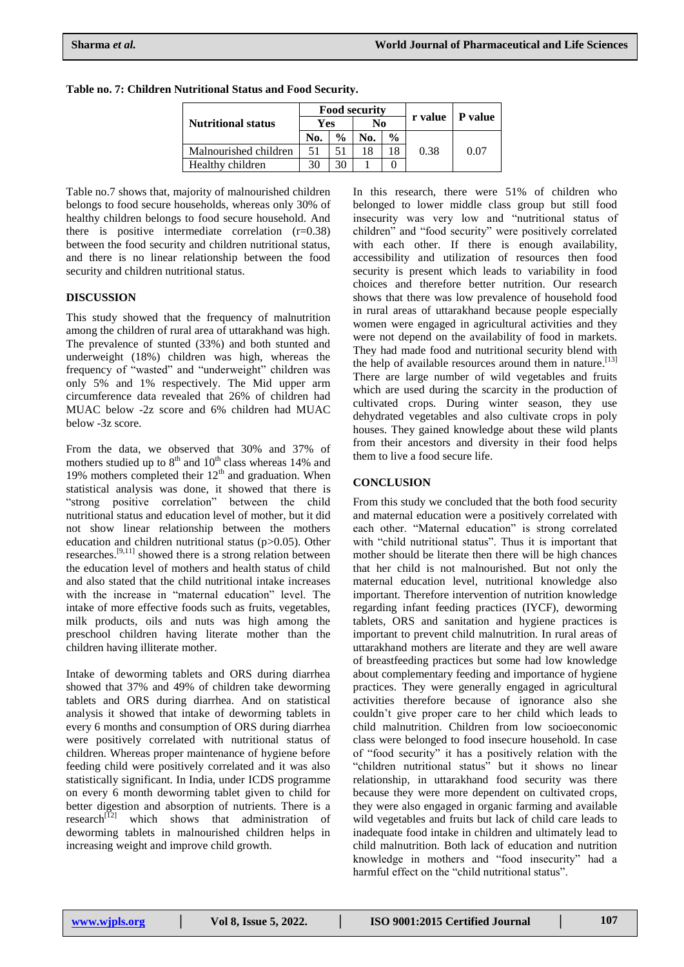|                           |     |               | <b>Food security</b> |               |         |         |  |
|---------------------------|-----|---------------|----------------------|---------------|---------|---------|--|
| <b>Nutritional status</b> | Yes |               | No                   |               | r value | P value |  |
|                           | No. | $\frac{0}{0}$ | No.                  | $\frac{0}{0}$ |         |         |  |
| Malnourished children     | 51  | 51            | 18                   | 18            | 0.38    | 0.07    |  |
| Healthy children          | 30  | 30            |                      |               |         |         |  |

**Table no. 7: Children Nutritional Status and Food Security.**

Table no.7 shows that, majority of malnourished children belongs to food secure households, whereas only 30% of healthy children belongs to food secure household. And there is positive intermediate correlation  $(r=0.38)$ between the food security and children nutritional status, and there is no linear relationship between the food security and children nutritional status.

### **DISCUSSION**

This study showed that the frequency of malnutrition among the children of rural area of uttarakhand was high. The prevalence of stunted (33%) and both stunted and underweight (18%) children was high, whereas the frequency of "wasted" and "underweight" children was only 5% and 1% respectively. The Mid upper arm circumference data revealed that 26% of children had MUAC below -2z score and 6% children had MUAC below -3z score.

From the data, we observed that 30% and 37% of mothers studied up to  $8<sup>th</sup>$  and  $10<sup>th</sup>$  class whereas 14% and 19% mothers completed their  $12<sup>th</sup>$  and graduation. When statistical analysis was done, it showed that there is "strong positive correlation" between the child nutritional status and education level of mother, but it did not show linear relationship between the mothers education and children nutritional status (p>0.05). Other researches.<sup>[9,11]</sup> showed there is a strong relation between the education level of mothers and health status of child and also stated that the child nutritional intake increases with the increase in "maternal education" level. The intake of more effective foods such as fruits, vegetables, milk products, oils and nuts was high among the preschool children having literate mother than the children having illiterate mother.

Intake of deworming tablets and ORS during diarrhea showed that 37% and 49% of children take deworming tablets and ORS during diarrhea. And on statistical analysis it showed that intake of deworming tablets in every 6 months and consumption of ORS during diarrhea were positively correlated with nutritional status of children. Whereas proper maintenance of hygiene before feeding child were positively correlated and it was also statistically significant. In India, under ICDS programme on every 6 month deworming tablet given to child for better digestion and absorption of nutrients. There is a research $\frac{1}{2}$  which shows that administration of deworming tablets in malnourished children helps in increasing weight and improve child growth.

In this research, there were 51% of children who belonged to lower middle class group but still food insecurity was very low and "nutritional status of children" and "food security" were positively correlated with each other. If there is enough availability, accessibility and utilization of resources then food security is present which leads to variability in food choices and therefore better nutrition. Our research shows that there was low prevalence of household food in rural areas of uttarakhand because people especially women were engaged in agricultural activities and they were not depend on the availability of food in markets. They had made food and nutritional security blend with the help of available resources around them in nature.<sup>[13]</sup> There are large number of wild vegetables and fruits which are used during the scarcity in the production of cultivated crops. During winter season, they use dehydrated vegetables and also cultivate crops in poly houses. They gained knowledge about these wild plants from their ancestors and diversity in their food helps them to live a food secure life.

## **CONCLUSION**

From this study we concluded that the both food security and maternal education were a positively correlated with each other. "Maternal education" is strong correlated with "child nutritional status". Thus it is important that mother should be literate then there will be high chances that her child is not malnourished. But not only the maternal education level, nutritional knowledge also important. Therefore intervention of nutrition knowledge regarding infant feeding practices (IYCF), deworming tablets, ORS and sanitation and hygiene practices is important to prevent child malnutrition. In rural areas of uttarakhand mothers are literate and they are well aware of breastfeeding practices but some had low knowledge about complementary feeding and importance of hygiene practices. They were generally engaged in agricultural activities therefore because of ignorance also she couldn't give proper care to her child which leads to child malnutrition. Children from low socioeconomic class were belonged to food insecure household. In case of "food security" it has a positively relation with the "children nutritional status" but it shows no linear relationship, in uttarakhand food security was there because they were more dependent on cultivated crops, they were also engaged in organic farming and available wild vegetables and fruits but lack of child care leads to inadequate food intake in children and ultimately lead to child malnutrition. Both lack of education and nutrition knowledge in mothers and "food insecurity" had a harmful effect on the "child nutritional status".